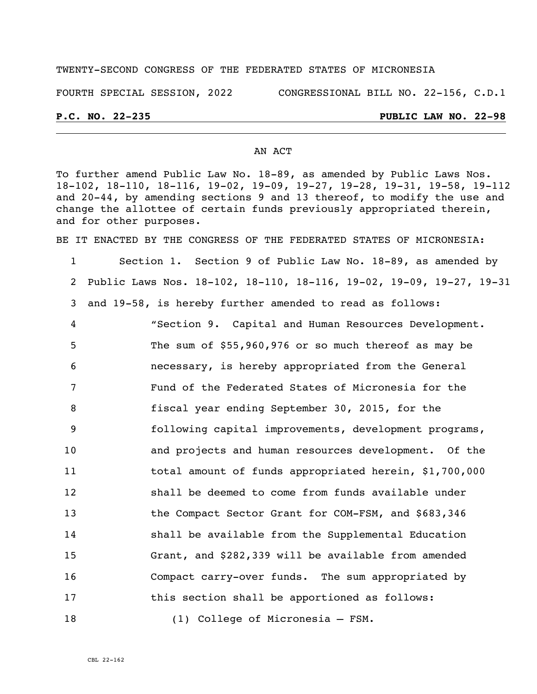#### TWENTY-SECOND CONGRESS OF THE FEDERATED STATES OF MICRONESIA

FOURTH SPECIAL SESSION, 2022 CONGRESSIONAL BILL NO. 22-156, C.D.1

### **P.C. NO. 22-235 PUBLIC LAW NO. 22-98**

#### AN ACT

To further amend Public Law No. 18-89, as amended by Public Laws Nos. 18-102, 18-110, 18-116, 19-02, 19-09, 19-27, 19-28, 19-31, 19-58, 19-112 and 20-44, by amending sections 9 and 13 thereof, to modify the use and change the allottee of certain funds previously appropriated therein, and for other purposes.

BE IT ENACTED BY THE CONGRESS OF THE FEDERATED STATES OF MICRONESIA:

 Section 1. Section 9 of Public Law No. 18-89, as amended by Public Laws Nos. 18-102, 18-110, 18-116, 19-02, 19-09, 19-27, 19-31 and 19-58, is hereby further amended to read as follows: "Section 9. Capital and Human Resources Development. The sum of \$55,960,976 or so much thereof as may be necessary, is hereby appropriated from the General Fund of the Federated States of Micronesia for the fiscal year ending September 30, 2015, for the following capital improvements, development programs, and projects and human resources development. Of the total amount of funds appropriated herein, \$1,700,000 shall be deemed to come from funds available under the Compact Sector Grant for COM-FSM, and \$683,346 shall be available from the Supplemental Education Grant, and \$282,339 will be available from amended Compact carry-over funds. The sum appropriated by this section shall be apportioned as follows: (1) College of Micronesia – FSM.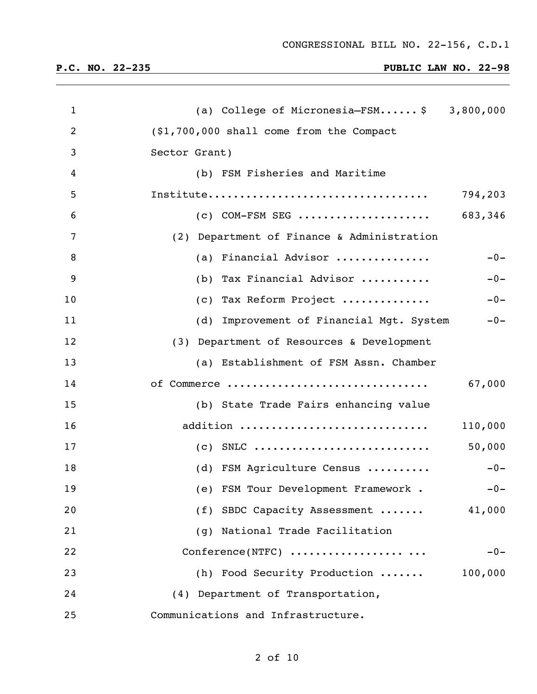| $\mathbf{1}$   | (a) College of Micronesia-FSM $\frac{1}{2}$ 3,800,000 |
|----------------|-------------------------------------------------------|
| $\overline{2}$ | (\$1,700,000 shall come from the Compact              |
| 3              | Sector Grant)                                         |
| 4              | (b) FSM Fisheries and Maritime                        |
| 5              | 794,203                                               |
| 6              | (c) COM-FSM SEG  683,346                              |
| 7              | (2) Department of Finance & Administration            |
| 8              | (a) Financial Advisor<br>$-0-$                        |
| 9              | (b) Tax Financial Advisor<br>$-0-$                    |
| 10             | (c) Tax Reform Project<br>$-0-$                       |
| 11             | (d) Improvement of Financial Mgt. System<br>$-0-$     |
| 12             | (3) Department of Resources & Development             |
| 13             | (a) Establishment of FSM Assn. Chamber                |
| 14             | 67,000<br>of Commerce                                 |
| 15             | (b) State Trade Fairs enhancing value                 |
| 16             | addition<br>110,000                                   |
| 17             | 50,000                                                |
| 18             | (d) FSM Agriculture Census<br>$-0-$                   |
| 19             | (e) FSM Tour Development Framework . -0-              |
| 20             | (f) SBDC Capacity Assessment<br>41,000                |
| 21             | (g) National Trade Facilitation                       |
| 22             | Conference(NTFC)<br>$-0-$                             |
| 23             | (h) Food Security Production<br>100,000               |
| 24             | (4) Department of Transportation,                     |
| 25             | Communications and Infrastructure.                    |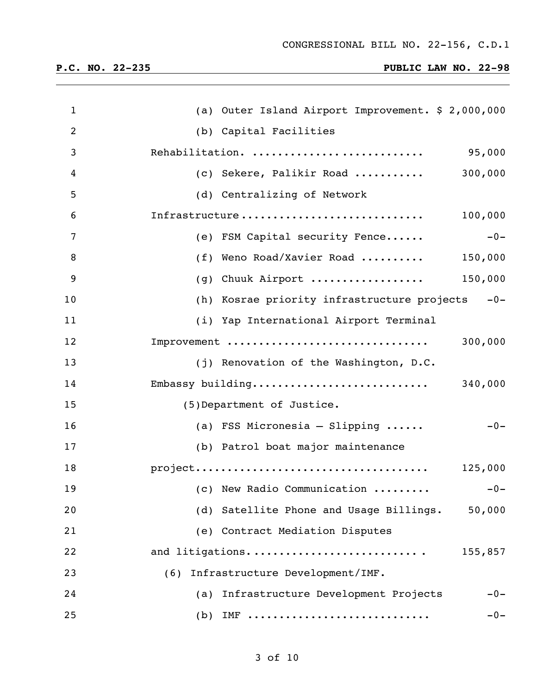| $\mathbf{1}$   | (a) Outer Island Airport Improvement. \$ 2,000,000  |
|----------------|-----------------------------------------------------|
| $\overline{2}$ | (b) Capital Facilities                              |
| 3              | 95,000<br>Rehabilitation.                           |
| 4              | 300,000<br>(c) Sekere, Palikir Road                 |
| 5              | (d) Centralizing of Network                         |
| 6              | 100,000<br>Infrastructure                           |
| $\overline{7}$ | $-0-$<br>(e) FSM Capital security Fence             |
| $\, 8$         | (f) Weno Road/Xavier Road $150,000$                 |
| 9              | (g) Chuuk Airport<br>150,000                        |
| 10             | (h) Kosrae priority infrastructure projects -0-     |
| 11             | (i) Yap International Airport Terminal              |
| 12             | Improvement<br>300,000                              |
| 13             | (j) Renovation of the Washington, D.C.              |
| 14             | Embassy building<br>340,000                         |
| 15             | (5) Department of Justice.                          |
| 16             | (a) FSS Micronesia - Slipping $\ldots$ .<br>$-0-$   |
| 17             | (b) Patrol boat major maintenance                   |
| 18             | 125,000                                             |
| 19             | (c) New Radio Communication<br>$-0-$                |
| 20             | (d) Satellite Phone and Usage Billings.<br>50,000   |
| 21             | (e) Contract Mediation Disputes                     |
| 22             | and litigations.<br>155,857                         |
| 23             | Infrastructure Development/IMF.<br>(6)              |
| 24             | Infrastructure Development Projects<br>$-0-$<br>(a) |
| 25             | $-0-$<br>$(b)$ IMF                                  |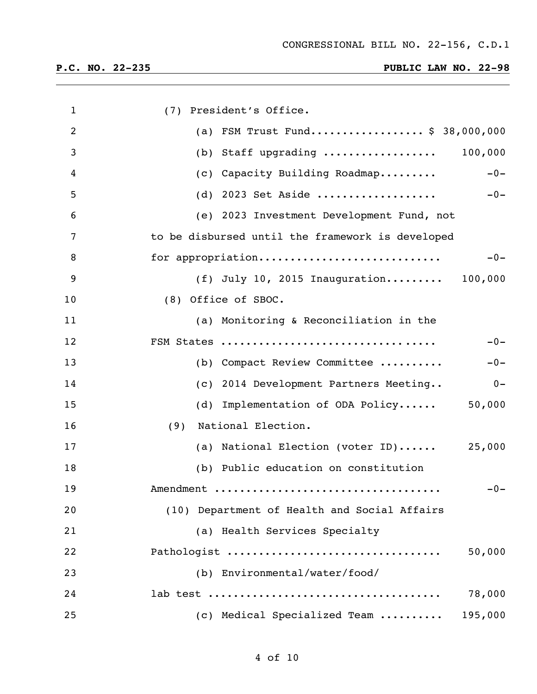| $\mathbf{1}$ | (7) President's Office.                          |
|--------------|--------------------------------------------------|
| 2            | (a) FSM Trust Fund \$ 38,000,000                 |
| 3            | (b) Staff upgrading $100,000$                    |
| 4            | $-0-$<br>(c) Capacity Building Roadmap           |
| 5            | $-0-$<br>(d) 2023 Set Aside                      |
| 6            | (e) 2023 Investment Development Fund, not        |
| 7            | to be disbursed until the framework is developed |
| 8            | for appropriation<br>$-0-$                       |
| 9            | (f) July 10, 2015 Inauguration 100,000           |
| 10           | (8) Office of SBOC.                              |
| 11           | (a) Monitoring & Reconciliation in the           |
| 12           | $-0-$<br>FSM States                              |
| 13           | $-0-$<br>(b) Compact Review Committee            |
| 14           | $0 -$<br>(c) 2014 Development Partners Meeting   |
| 15           | 50,000<br>(d) Implementation of ODA Policy       |
| 16           | (9) National Election.                           |
| 17           | (a) National Election (voter ID) 25,000          |
| 18           | (b) Public education on constitution             |
| 19           | $-0-$                                            |
| 20           | (10) Department of Health and Social Affairs     |
| 21           | (a) Health Services Specialty                    |
| 22           | Pathologist<br>50,000                            |
| 23           | (b) Environmental/water/food/                    |
| 24           | 78,000                                           |
| 25           | (c) Medical Specialized Team<br>195,000          |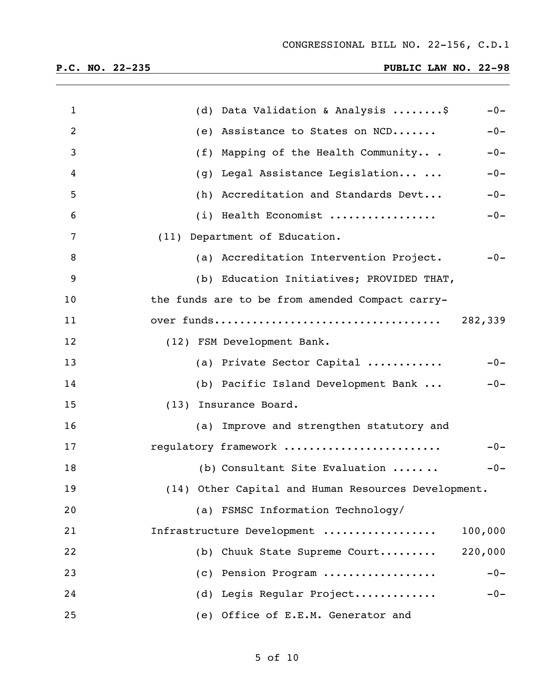| $\mathbf{1}$   | Data Validation & Analysis \$<br>$-0-$<br>(d)       |
|----------------|-----------------------------------------------------|
| $\overline{2}$ | Assistance to States on NCD<br>$-0-$<br>(e)         |
| 3              | Mapping of the Health Community .<br>$-0-$<br>(f)   |
| 4              | Legal Assistance Legislation<br>$-0-$<br>(g)        |
| 5              | Accreditation and Standards Devt<br>$-0-$<br>(h)    |
| 6              | (i) Health Economist<br>$-0-$                       |
| 7              | (11) Department of Education.                       |
| 8              | (a) Accreditation Intervention Project.<br>$-0-$    |
| 9              | (b) Education Initiatives; PROVIDED THAT,           |
| 10             | the funds are to be from amended Compact carry-     |
| 11             | 282,339                                             |
| 12             | (12) FSM Development Bank.                          |
| 13             | $-0-$<br>(a) Private Sector Capital                 |
| 14             | (b) Pacific Island Development Bank<br>$-0-$        |
| 15             | (13) Insurance Board.                               |
| 16             | (a) Improve and strengthen statutory and            |
| 17             | regulatory framework<br>$-0-$                       |
| 18             | (b) Consultant Site Evaluation<br>$-0-$             |
| 19             | (14) Other Capital and Human Resources Development. |
| 20             | (a) FSMSC Information Technology/                   |
| 21             | Infrastructure Development<br>100,000               |
| 22             | (b) Chuuk State Supreme Court<br>220,000            |
| 23             | (c) Pension Program<br>$-0-$                        |
| 24             | (d) Legis Regular Project<br>$-0-$                  |
| 25             | (e) Office of E.E.M. Generator and                  |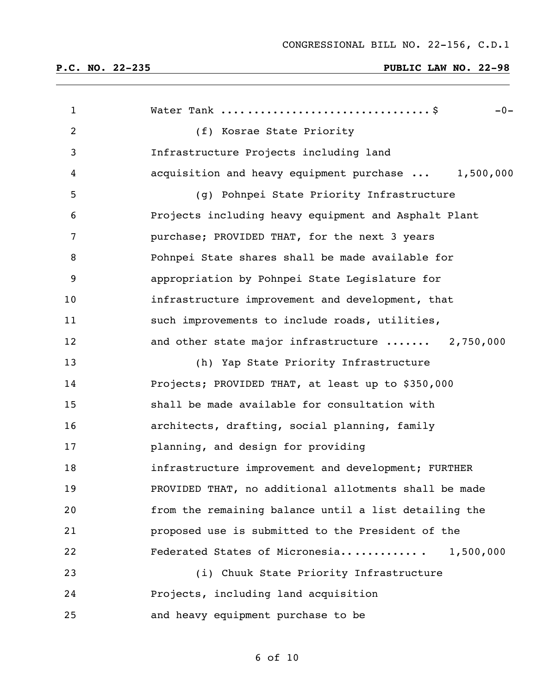| $\mathbf{1}$   | $-0-$                                                 |
|----------------|-------------------------------------------------------|
| $\overline{2}$ | (f) Kosrae State Priority                             |
| 3              | Infrastructure Projects including land                |
| 4              | acquisition and heavy equipment purchase  1,500,000   |
| 5              | (g) Pohnpei State Priority Infrastructure             |
| 6              | Projects including heavy equipment and Asphalt Plant  |
| 7              | purchase; PROVIDED THAT, for the next 3 years         |
| 8              | Pohnpei State shares shall be made available for      |
| 9              | appropriation by Pohnpei State Legislature for        |
| 10             | infrastructure improvement and development, that      |
| 11             | such improvements to include roads, utilities,        |
| 12             | and other state major infrastructure  2,750,000       |
| 13             | (h) Yap State Priority Infrastructure                 |
| 14             | Projects; PROVIDED THAT, at least up to \$350,000     |
| 15             | shall be made available for consultation with         |
| 16             | architects, drafting, social planning, family         |
| 17             | planning, and design for providing                    |
| 18             | infrastructure improvement and development; FURTHER   |
| 19             | PROVIDED THAT, no additional allotments shall be made |
| 20             | from the remaining balance until a list detailing the |
| 21             | proposed use is submitted to the President of the     |
| 22             | Federated States of Micronesia 1,500,000              |
| 23             | (i) Chuuk State Priority Infrastructure               |
| 24             | Projects, including land acquisition                  |
| 25             | and heavy equipment purchase to be                    |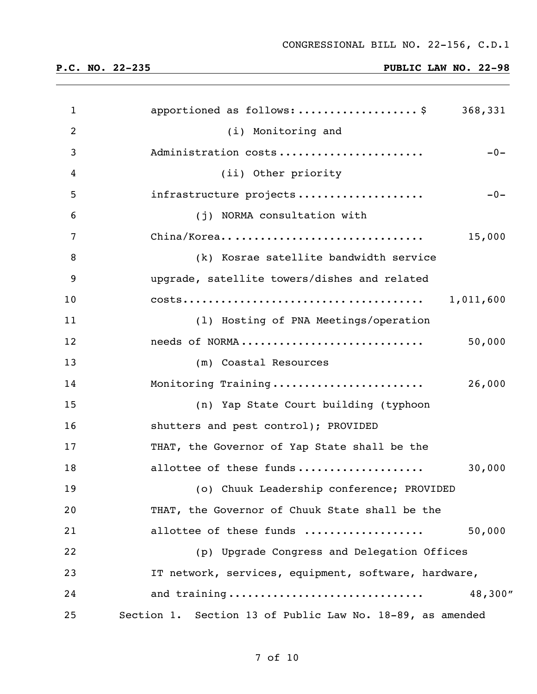| $\mathbf{1}$   | apportioned as follows: \$<br>368,331                     |         |
|----------------|-----------------------------------------------------------|---------|
| $\overline{2}$ | (i) Monitoring and                                        |         |
| 3              | Administration costs                                      | $-0-$   |
| 4              | (ii) Other priority                                       |         |
| 5              | infrastructure projects                                   | $-0-$   |
| 6              | (j) NORMA consultation with                               |         |
| 7              | China/Korea<br>15,000                                     |         |
| 8              | (k) Kosrae satellite bandwidth service                    |         |
| 9              | upgrade, satellite towers/dishes and related              |         |
| 10             | 1,011,600                                                 |         |
| 11             | (1) Hosting of PNA Meetings/operation                     |         |
| 12             | needs of NORMA<br>50,000                                  |         |
| 13             | (m) Coastal Resources                                     |         |
| 14             | Monitoring Training<br>26,000                             |         |
| 15             | (n) Yap State Court building (typhoon                     |         |
| 16             | shutters and pest control); PROVIDED                      |         |
| 17             | THAT, the Governor of Yap State shall be the              |         |
| 18             | 30,000<br>allottee of these funds                         |         |
| 19             | (o) Chuuk Leadership conference; PROVIDED                 |         |
| 20             | THAT, the Governor of Chuuk State shall be the            |         |
| 21             | allottee of these funds<br>50,000                         |         |
| 22             | (p) Upgrade Congress and Delegation Offices               |         |
| 23             | IT network, services, equipment, software, hardware,      |         |
| 24             | and training                                              | 48,300" |
| 25             | Section 1. Section 13 of Public Law No. 18-89, as amended |         |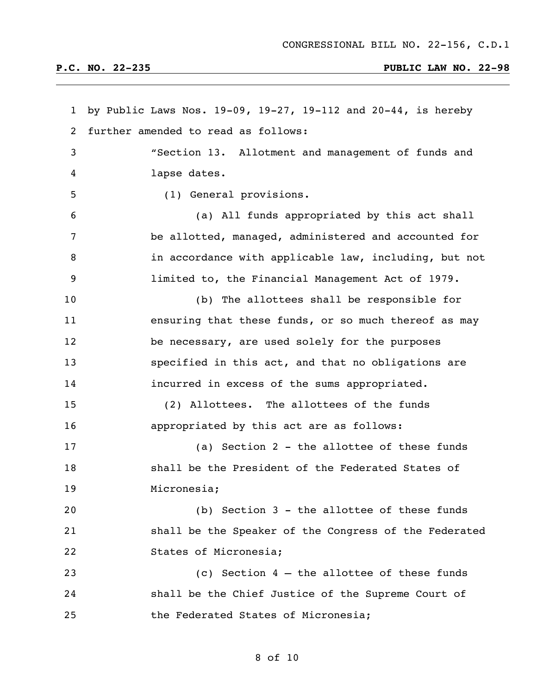by Public Laws Nos. 19-09, 19-27, 19-112 and 20-44, is hereby further amended to read as follows: "Section 13. Allotment and management of funds and lapse dates. (1) General provisions. (a) All funds appropriated by this act shall be allotted, managed, administered and accounted for in accordance with applicable law, including, but not limited to, the Financial Management Act of 1979. (b) The allottees shall be responsible for ensuring that these funds, or so much thereof as may be necessary, are used solely for the purposes specified in this act, and that no obligations are incurred in excess of the sums appropriated. (2) Allottees. The allottees of the funds appropriated by this act are as follows: (a) Section 2 - the allottee of these funds shall be the President of the Federated States of Micronesia; (b) Section 3 - the allottee of these funds shall be the Speaker of the Congress of the Federated States of Micronesia; (c) Section 4 – the allottee of these funds shall be the Chief Justice of the Supreme Court of the Federated States of Micronesia;

#### of 10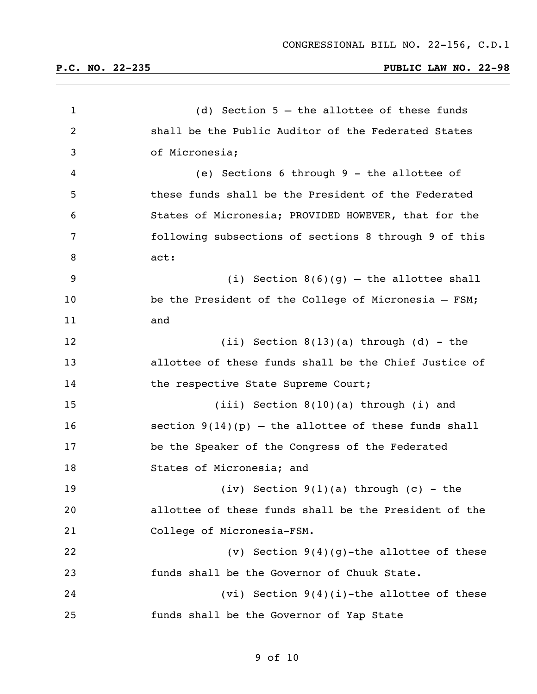| $\mathbf{1}$   | (d) Section $5$ - the allottee of these funds          |
|----------------|--------------------------------------------------------|
| $\overline{2}$ | shall be the Public Auditor of the Federated States    |
| 3              | of Micronesia;                                         |
| 4              | (e) Sections 6 through 9 - the allottee of             |
| 5              | these funds shall be the President of the Federated    |
| 6              | States of Micronesia; PROVIDED HOWEVER, that for the   |
| 7              | following subsections of sections 8 through 9 of this  |
| 8              | act:                                                   |
| 9              | (i) Section $8(6)(g)$ - the allottee shall             |
| 10             | be the President of the College of Micronesia - FSM;   |
| 11             | and                                                    |
| 12             | (ii) Section $8(13)(a)$ through $(d)$ - the            |
| 13             | allottee of these funds shall be the Chief Justice of  |
| 14             | the respective State Supreme Court;                    |
| 15             | $(iii)$ Section $8(10)(a)$ through $(i)$ and           |
| 16             | section $9(14)(p)$ - the allottee of these funds shall |
| 17             | be the Speaker of the Congress of the Federated        |
| 18             | States of Micronesia; and                              |
| 19             | (iv) Section $9(1)(a)$ through (c) - the               |
| 20             | allottee of these funds shall be the President of the  |
| 21             | College of Micronesia-FSM.                             |
| 22             | (v) Section $9(4)(g)$ -the allottee of these           |
| 23             | funds shall be the Governor of Chuuk State.            |
| 24             | (vi) Section $9(4)(i)$ -the allottee of these          |
| 25             | funds shall be the Governor of Yap State               |